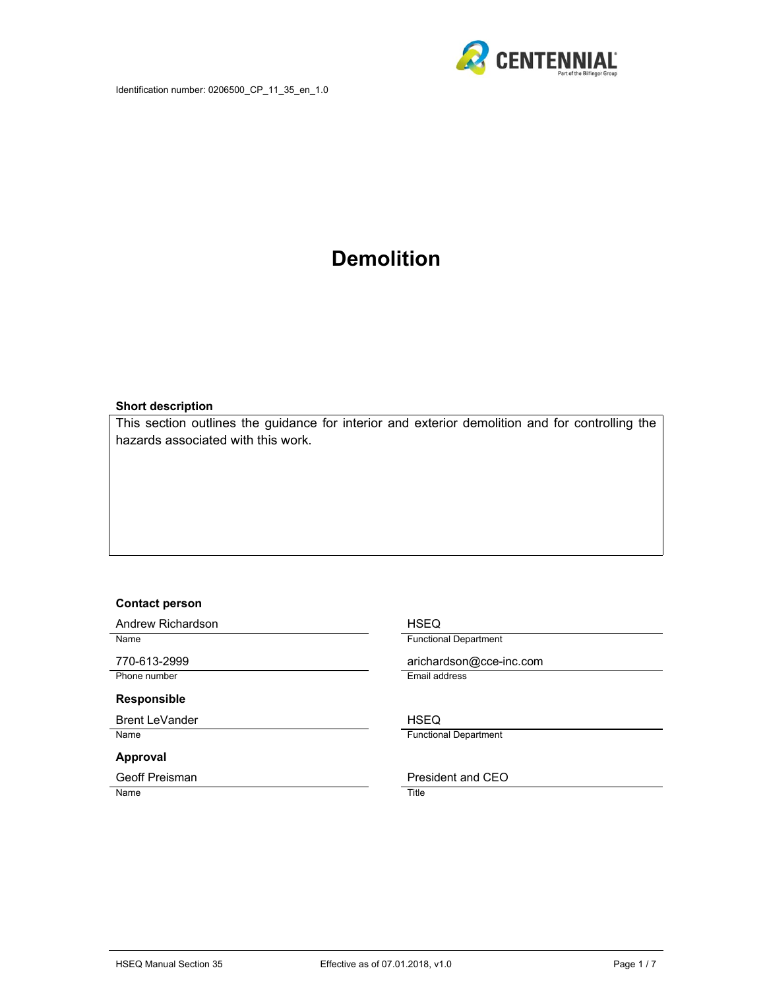

# **Demolition**

#### **Short description**

This section outlines the guidance for interior and exterior demolition and for controlling the hazards associated with this work.

#### **Contact person**

Andrew Richardson **HSEQ** 

Phone number **Email address** 

#### **Responsible**

Brent LeVander **HSEQ** Name **Functional Department** 

#### **Approval**

Name Title

Name **Name Name Name European Contract Contract Contract Contract Contract Contract Contract Contract Contract Contract Contract Contract Contract Contract Contract Contract Contract Contract Contract Contract Contra** 

770-613-2999 arichardson@cce-inc.com

Geoff Preisman **President and CEO**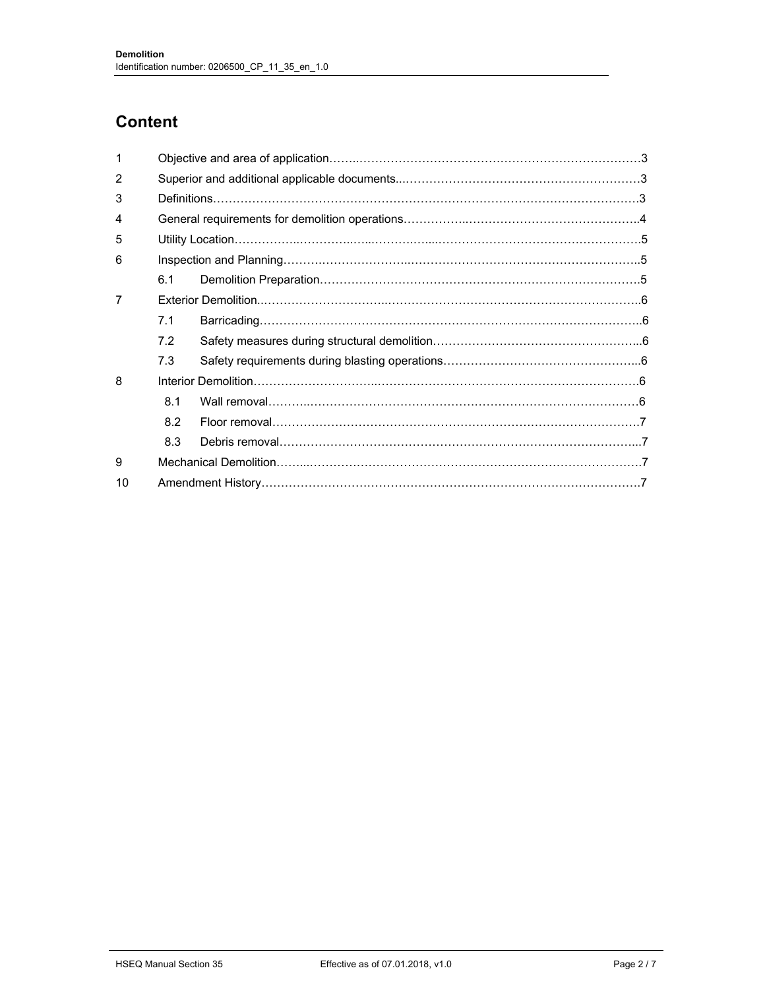## **Content**

| 1              |                                                          |  |  |  |  |  |
|----------------|----------------------------------------------------------|--|--|--|--|--|
| $\mathcal{P}$  |                                                          |  |  |  |  |  |
| 3              |                                                          |  |  |  |  |  |
| 4              |                                                          |  |  |  |  |  |
| 5              |                                                          |  |  |  |  |  |
| 6              |                                                          |  |  |  |  |  |
|                | 6.1                                                      |  |  |  |  |  |
| $\overline{7}$ |                                                          |  |  |  |  |  |
|                | 7.1                                                      |  |  |  |  |  |
|                | 7.2                                                      |  |  |  |  |  |
|                | 7.3                                                      |  |  |  |  |  |
| 8              |                                                          |  |  |  |  |  |
|                | 81                                                       |  |  |  |  |  |
|                | 8.2                                                      |  |  |  |  |  |
|                | 8.3                                                      |  |  |  |  |  |
| 9              | Mechanical Demolition…………………………………………………………………………………………7 |  |  |  |  |  |
| 10             |                                                          |  |  |  |  |  |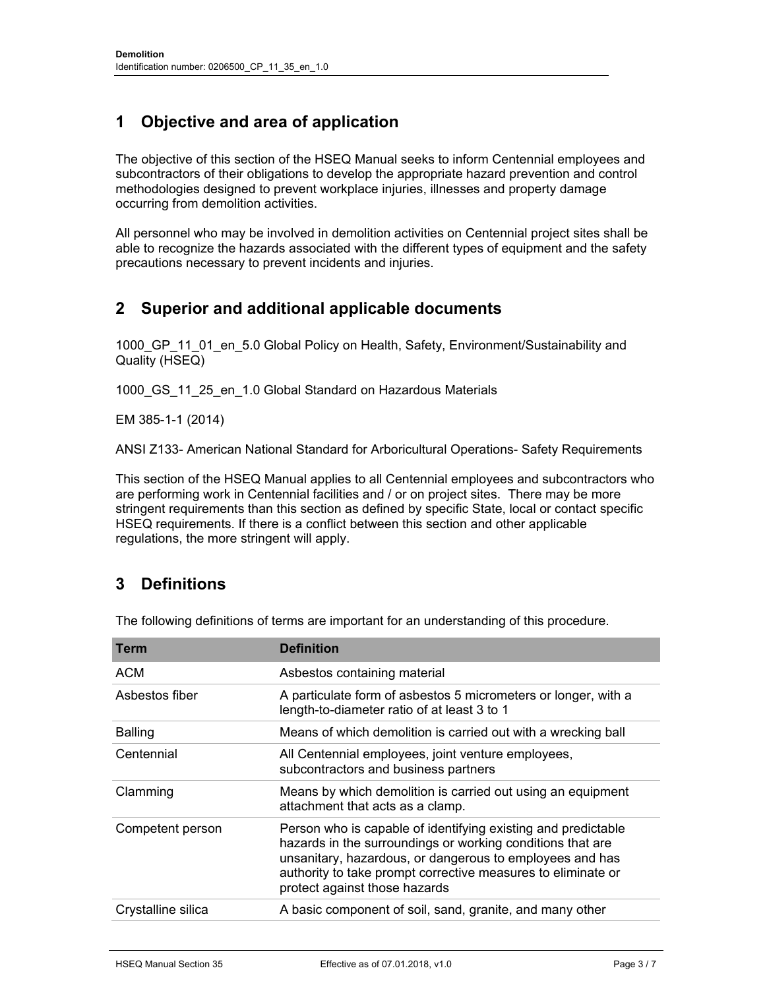## **1 Objective and area of application**

The objective of this section of the HSEQ Manual seeks to inform Centennial employees and subcontractors of their obligations to develop the appropriate hazard prevention and control methodologies designed to prevent workplace injuries, illnesses and property damage occurring from demolition activities.

All personnel who may be involved in demolition activities on Centennial project sites shall be able to recognize the hazards associated with the different types of equipment and the safety precautions necessary to prevent incidents and injuries.

### **2 Superior and additional applicable documents**

1000 GP 11 01 en 5.0 Global Policy on Health, Safety, Environment/Sustainability and Quality (HSEQ)

1000 GS 11 25 en 1.0 Global Standard on Hazardous Materials

EM 385-1-1 (2014)

ANSI Z133- American National Standard for Arboricultural Operations- Safety Requirements

This section of the HSEQ Manual applies to all Centennial employees and subcontractors who are performing work in Centennial facilities and / or on project sites. There may be more stringent requirements than this section as defined by specific State, local or contact specific HSEQ requirements. If there is a conflict between this section and other applicable regulations, the more stringent will apply.

## **3 Definitions**

The following definitions of terms are important for an understanding of this procedure.

| Term               | <b>Definition</b>                                                                                                                                                                                                                                                                        |
|--------------------|------------------------------------------------------------------------------------------------------------------------------------------------------------------------------------------------------------------------------------------------------------------------------------------|
| <b>ACM</b>         | Asbestos containing material                                                                                                                                                                                                                                                             |
| Asbestos fiber     | A particulate form of asbestos 5 micrometers or longer, with a<br>length-to-diameter ratio of at least 3 to 1                                                                                                                                                                            |
| <b>Balling</b>     | Means of which demolition is carried out with a wrecking ball                                                                                                                                                                                                                            |
| Centennial         | All Centennial employees, joint venture employees,<br>subcontractors and business partners                                                                                                                                                                                               |
| Clamming           | Means by which demolition is carried out using an equipment<br>attachment that acts as a clamp.                                                                                                                                                                                          |
| Competent person   | Person who is capable of identifying existing and predictable<br>hazards in the surroundings or working conditions that are<br>unsanitary, hazardous, or dangerous to employees and has<br>authority to take prompt corrective measures to eliminate or<br>protect against those hazards |
| Crystalline silica | A basic component of soil, sand, granite, and many other                                                                                                                                                                                                                                 |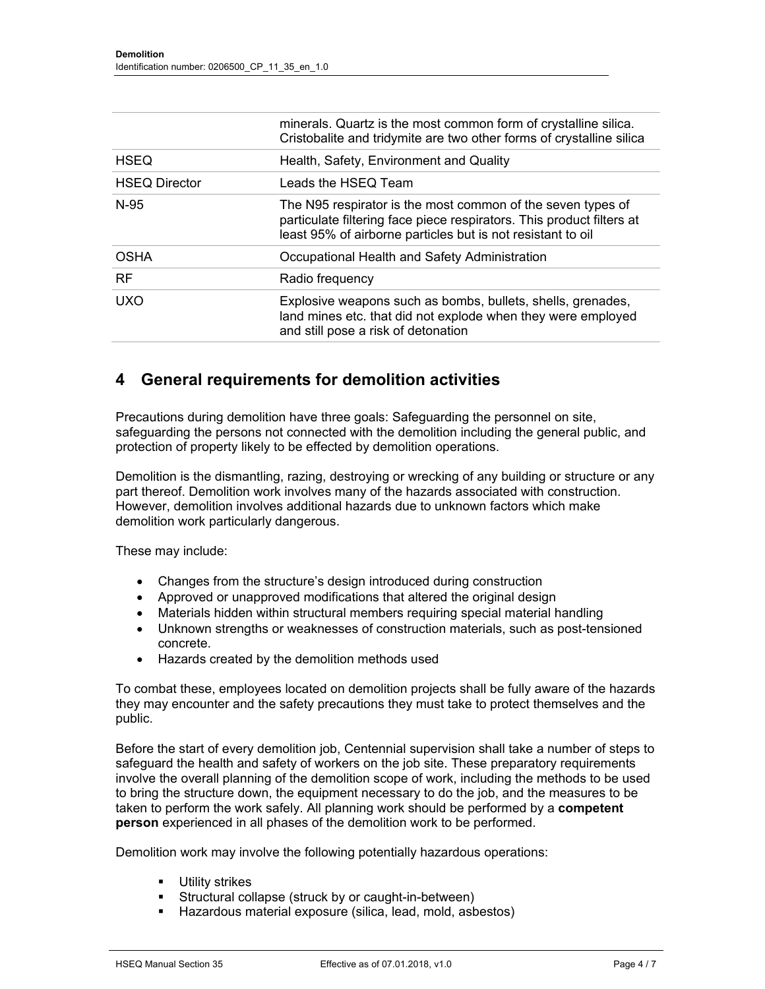|                      | minerals. Quartz is the most common form of crystalline silica.<br>Cristobalite and tridymite are two other forms of crystalline silica                                                             |
|----------------------|-----------------------------------------------------------------------------------------------------------------------------------------------------------------------------------------------------|
| <b>HSEQ</b>          | Health, Safety, Environment and Quality                                                                                                                                                             |
| <b>HSEQ Director</b> | Leads the HSEQ Team                                                                                                                                                                                 |
| $N-95$               | The N95 respirator is the most common of the seven types of<br>particulate filtering face piece respirators. This product filters at<br>least 95% of airborne particles but is not resistant to oil |
| <b>OSHA</b>          | Occupational Health and Safety Administration                                                                                                                                                       |
| <b>RF</b>            | Radio frequency                                                                                                                                                                                     |
| <b>UXO</b>           | Explosive weapons such as bombs, bullets, shells, grenades,<br>land mines etc. that did not explode when they were employed<br>and still pose a risk of detonation                                  |

### **4 General requirements for demolition activities**

Precautions during demolition have three goals: Safeguarding the personnel on site, safeguarding the persons not connected with the demolition including the general public, and protection of property likely to be effected by demolition operations.

Demolition is the dismantling, razing, destroying or wrecking of any building or structure or any part thereof. Demolition work involves many of the hazards associated with construction. However, demolition involves additional hazards due to unknown factors which make demolition work particularly dangerous.

These may include:

- Changes from the structure's design introduced during construction
- Approved or unapproved modifications that altered the original design
- Materials hidden within structural members requiring special material handling
- Unknown strengths or weaknesses of construction materials, such as post-tensioned concrete.
- Hazards created by the demolition methods used

To combat these, employees located on demolition projects shall be fully aware of the hazards they may encounter and the safety precautions they must take to protect themselves and the public.

Before the start of every demolition job, Centennial supervision shall take a number of steps to safeguard the health and safety of workers on the job site. These preparatory requirements involve the overall planning of the demolition scope of work, including the methods to be used to bring the structure down, the equipment necessary to do the job, and the measures to be taken to perform the work safely. All planning work should be performed by a **competent person** experienced in all phases of the demolition work to be performed.

Demolition work may involve the following potentially hazardous operations:

- **Utility strikes**
- Structural collapse (struck by or caught-in-between)
- Hazardous material exposure (silica, lead, mold, asbestos)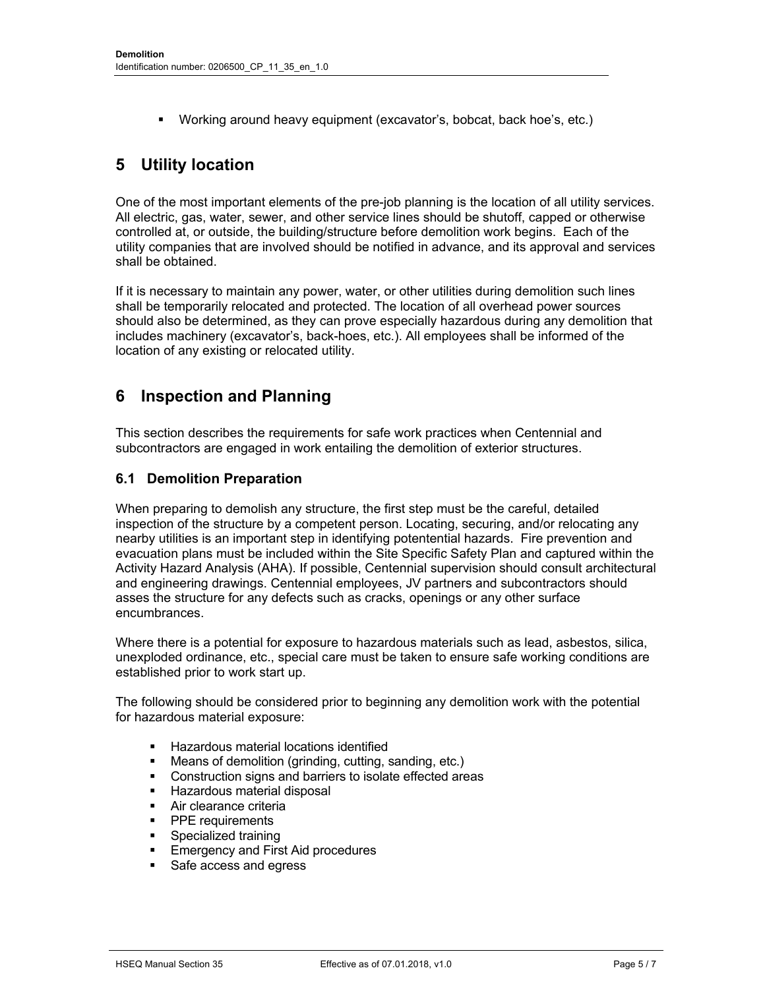Working around heavy equipment (excavator's, bobcat, back hoe's, etc.)

### **5 Utility location**

One of the most important elements of the pre-job planning is the location of all utility services. All electric, gas, water, sewer, and other service lines should be shutoff, capped or otherwise controlled at, or outside, the building/structure before demolition work begins. Each of the utility companies that are involved should be notified in advance, and its approval and services shall be obtained.

If it is necessary to maintain any power, water, or other utilities during demolition such lines shall be temporarily relocated and protected. The location of all overhead power sources should also be determined, as they can prove especially hazardous during any demolition that includes machinery (excavator's, back-hoes, etc.). All employees shall be informed of the location of any existing or relocated utility.

### **6 Inspection and Planning**

This section describes the requirements for safe work practices when Centennial and subcontractors are engaged in work entailing the demolition of exterior structures.

#### **6.1 Demolition Preparation**

When preparing to demolish any structure, the first step must be the careful, detailed inspection of the structure by a competent person. Locating, securing, and/or relocating any nearby utilities is an important step in identifying potentential hazards. Fire prevention and evacuation plans must be included within the Site Specific Safety Plan and captured within the Activity Hazard Analysis (AHA). If possible, Centennial supervision should consult architectural and engineering drawings. Centennial employees, JV partners and subcontractors should asses the structure for any defects such as cracks, openings or any other surface encumbrances.

Where there is a potential for exposure to hazardous materials such as lead, asbestos, silica, unexploded ordinance, etc., special care must be taken to ensure safe working conditions are established prior to work start up.

The following should be considered prior to beginning any demolition work with the potential for hazardous material exposure:

- Hazardous material locations identified
- Means of demolition (grinding, cutting, sanding, etc.)
- Construction signs and barriers to isolate effected areas
- **Hazardous material disposal**
- **Air clearance criteria**
- **PPE** requirements
- **Specialized training**
- **Emergency and First Aid procedures**
- Safe access and egress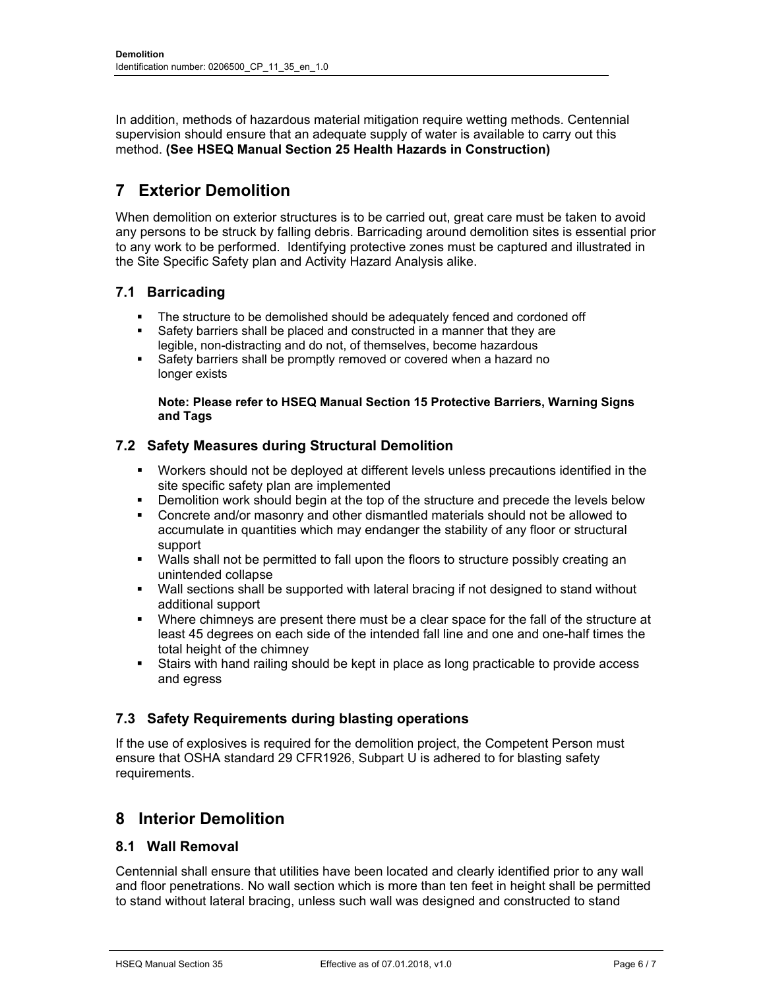In addition, methods of hazardous material mitigation require wetting methods. Centennial supervision should ensure that an adequate supply of water is available to carry out this method. **(See HSEQ Manual Section 25 Health Hazards in Construction)** 

### **7 Exterior Demolition**

When demolition on exterior structures is to be carried out, great care must be taken to avoid any persons to be struck by falling debris. Barricading around demolition sites is essential prior to any work to be performed. Identifying protective zones must be captured and illustrated in the Site Specific Safety plan and Activity Hazard Analysis alike.

#### **7.1 Barricading**

- The structure to be demolished should be adequately fenced and cordoned off
- Safety barriers shall be placed and constructed in a manner that they are legible, non-distracting and do not, of themselves, become hazardous
- **Safety barriers shall be promptly removed or covered when a hazard no** longer exists

#### **Note: Please refer to HSEQ Manual Section 15 Protective Barriers, Warning Signs and Tags**

#### **7.2 Safety Measures during Structural Demolition**

- Workers should not be deployed at different levels unless precautions identified in the site specific safety plan are implemented
- **Demolition work should begin at the top of the structure and precede the levels below**
- **Concrete and/or masonry and other dismantled materials should not be allowed to** accumulate in quantities which may endanger the stability of any floor or structural support
- **Walls shall not be permitted to fall upon the floors to structure possibly creating an** unintended collapse
- Wall sections shall be supported with lateral bracing if not designed to stand without additional support
- **Nere chimneys are present there must be a clear space for the fall of the structure at** least 45 degrees on each side of the intended fall line and one and one-half times the total height of the chimney
- Stairs with hand railing should be kept in place as long practicable to provide access and egress

#### **7.3 Safety Requirements during blasting operations**

If the use of explosives is required for the demolition project, the Competent Person must ensure that OSHA standard 29 CFR1926, Subpart U is adhered to for blasting safety requirements.

### **8 Interior Demolition**

#### **8.1 Wall Removal**

Centennial shall ensure that utilities have been located and clearly identified prior to any wall and floor penetrations. No wall section which is more than ten feet in height shall be permitted to stand without lateral bracing, unless such wall was designed and constructed to stand